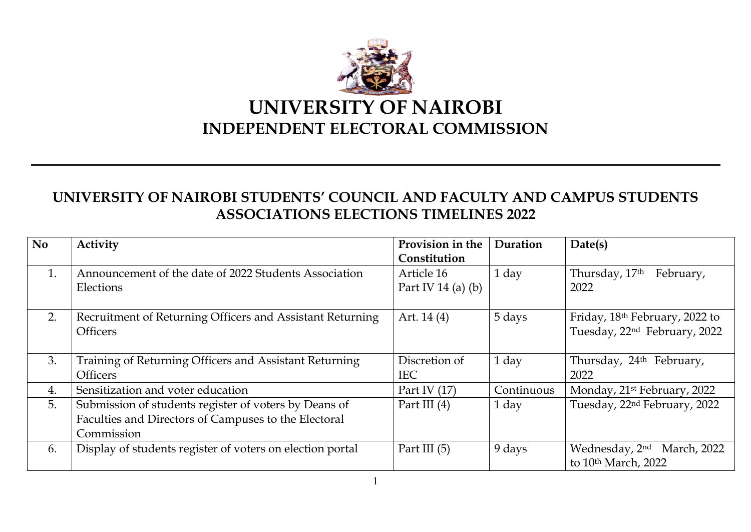

## **UNIVERSITY OF NAIROBI STUDENTS' COUNCIL AND FACULTY AND CAMPUS STUDENTS ASSOCIATIONS ELECTIONS TIMELINES 2022**

| <b>No</b> | Activity                                                  | Provision in the     | Duration   | Date(s)                                 |
|-----------|-----------------------------------------------------------|----------------------|------------|-----------------------------------------|
|           |                                                           | Constitution         |            |                                         |
| 1.        | Announcement of the date of 2022 Students Association     | Article 16           | 1 day      | Thursday, 17th<br>February,             |
|           | Elections                                                 | Part IV 14 (a) $(b)$ |            | 2022                                    |
| 2.        | Recruitment of Returning Officers and Assistant Returning | Art. 14 (4)          | 5 days     | Friday, 18th February, 2022 to          |
|           | <b>Officers</b>                                           |                      |            | Tuesday, 22nd February, 2022            |
| 3.        | Training of Returning Officers and Assistant Returning    | Discretion of        | 1 day      | Thursday, 24 <sup>th</sup> February,    |
|           | <b>Officers</b>                                           | <b>IEC</b>           |            | 2022                                    |
| 4.        | Sensitization and voter education                         | Part IV $(17)$       | Continuous | Monday, 21 <sup>st</sup> February, 2022 |
| 5.        | Submission of students register of voters by Deans of     | Part III $(4)$       | 1 day      | Tuesday, 22nd February, 2022            |
|           | Faculties and Directors of Campuses to the Electoral      |                      |            |                                         |
|           | Commission                                                |                      |            |                                         |
| 6.        | Display of students register of voters on election portal | Part III $(5)$       | 9 days     | Wednesday, 2nd<br>March, 2022           |
|           |                                                           |                      |            | to 10th March, 2022                     |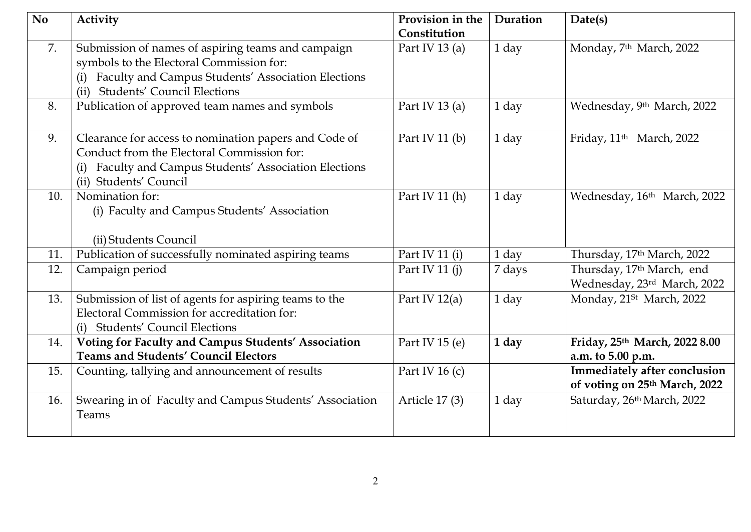| <b>No</b> | Activity                                                                                                                                                                                                  | Provision in the<br>Constitution | Duration | Date(s)                                                              |
|-----------|-----------------------------------------------------------------------------------------------------------------------------------------------------------------------------------------------------------|----------------------------------|----------|----------------------------------------------------------------------|
| 7.        | Submission of names of aspiring teams and campaign<br>symbols to the Electoral Commission for:<br>Faculty and Campus Students' Association Elections<br>(i)<br><b>Students' Council Elections</b><br>(ii) | Part IV 13 $(a)$                 | 1 day    | Monday, 7 <sup>th</sup> March, 2022                                  |
| 8.        | Publication of approved team names and symbols                                                                                                                                                            | Part IV 13 (a)                   | 1 day    | Wednesday, 9th March, 2022                                           |
| 9.        | Clearance for access to nomination papers and Code of<br>Conduct from the Electoral Commission for:<br>(i) Faculty and Campus Students' Association Elections<br>(ii) Students' Council                   | Part IV 11 $(b)$                 | 1 day    | Friday, 11 <sup>th</sup> March, 2022                                 |
| 10.       | Nomination for:<br>(i) Faculty and Campus Students' Association<br>(ii) Students Council                                                                                                                  | Part IV 11 (h)                   | 1 day    | Wednesday, 16th March, 2022                                          |
| 11.       | Publication of successfully nominated aspiring teams                                                                                                                                                      | Part IV 11 (i)                   | 1 day    | Thursday, 17th March, 2022                                           |
| 12.       | Campaign period                                                                                                                                                                                           | Part IV 11 $(i)$                 | 7 days   | Thursday, 17 <sup>th</sup> March, end<br>Wednesday, 23rd March, 2022 |
| 13.       | Submission of list of agents for aspiring teams to the<br>Electoral Commission for accreditation for:<br>(i) Students' Council Elections                                                                  | Part IV $12(a)$                  | 1 day    | Monday, 21 <sup>St</sup> March, 2022                                 |
| 14.       | Voting for Faculty and Campus Students' Association<br><b>Teams and Students' Council Electors</b>                                                                                                        | Part IV 15 $(e)$                 | 1 day    | Friday, 25th March, 2022 8.00<br>a.m. to 5.00 p.m.                   |
| 15.       | Counting, tallying and announcement of results                                                                                                                                                            | Part IV 16 $(c)$                 |          | Immediately after conclusion<br>of voting on 25th March, 2022        |
| 16.       | Swearing in of Faculty and Campus Students' Association<br>Teams                                                                                                                                          | Article 17(3)                    | 1 day    | Saturday, 26th March, 2022                                           |